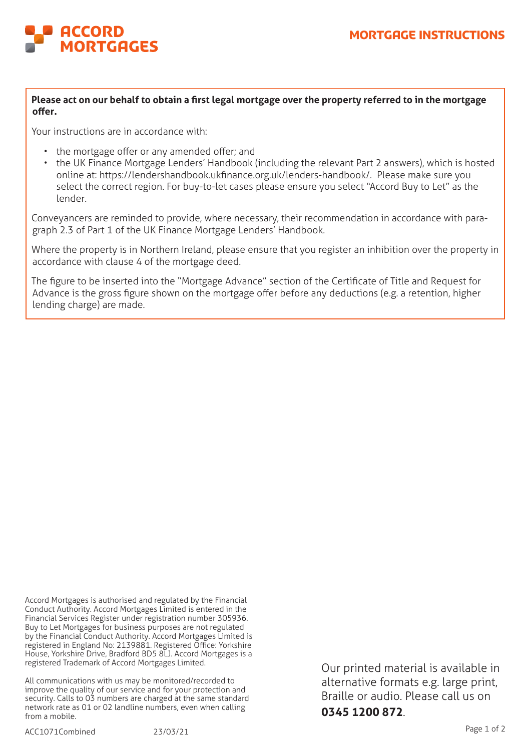

**Please act on our behalf to obtain a first legal mortgage over the property referred to in the mortgage offer.**

Your instructions are in accordance with:

- the mortgage offer or any amended offer; and
- the UK Finance Mortgage Lenders' Handbook (including the relevant Part 2 answers), which is hosted online at: https://lendershandbook.ukfinance.org.uk/lenders-handbook/. Please make sure you select the correct region. For buy-to-let cases please ensure you select "Accord Buy to Let" as the lender.

Conveyancers are reminded to provide, where necessary, their recommendation in accordance with paragraph 2.3 of Part 1 of the UK Finance Mortgage Lenders' Handbook.

Where the property is in Northern Ireland, please ensure that you register an inhibition over the property in accordance with clause 4 of the mortgage deed.

The figure to be inserted into the "Mortgage Advance" section of the Certificate of Title and Request for Advance is the gross figure shown on the mortgage offer before any deductions (e.g. a retention, higher lending charge) are made.

Accord Mortgages is authorised and regulated by the Financial Conduct Authority. Accord Mortgages Limited is entered in the Financial Services Register under registration number 305936. Buy to Let Mortgages for business purposes are not regulated by the Financial Conduct Authority. Accord Mortgages Limited is registered in England No: 2139881. Registered Office: Yorkshire House, Yorkshire Drive, Bradford BD5 8LJ. Accord Mortgages is a registered Trademark of Accord Mortgages Limited.

All communications with us may be monitored/recorded to improve the quality of our service and for your protection and security. Calls to 03 numbers are charged at the same standard network rate as 01 or 02 landline numbers, even when calling from a mobile.

Our printed material is available in alternative formats e.g. large print, Braille or audio. Please call us on **0345 1200 872**.